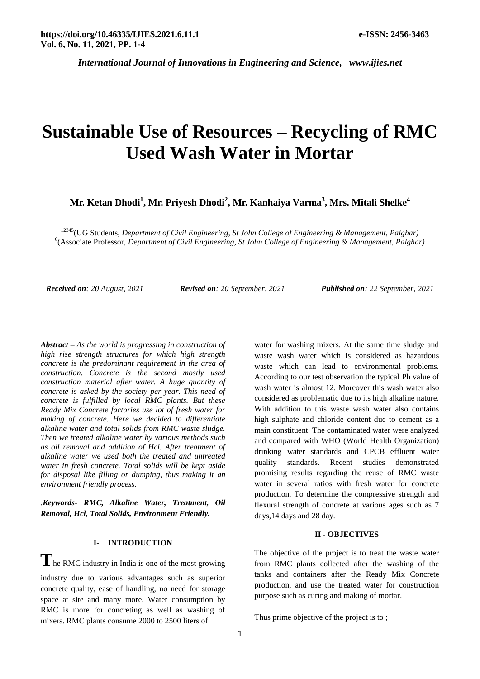# **Sustainable Use of Resources – Recycling of RMC Used Wash Water in Mortar**

**Mr. Ketan Dhodi<sup>1</sup> , Mr. Priyesh Dhodi<sup>2</sup> , Mr. Kanhaiya Varma<sup>3</sup> , Mrs. Mitali Shelke<sup>4</sup>**

<sup>12345</sup>(UG Students, *Department of Civil Engineering, St John College of Engineering & Management, Palghar)* 6 (Associate Professor, *Department of Civil Engineering, St John College of Engineering & Management, Palghar)*

*Received on: 20 August, 2021 Revised on: 20 September, 2021 Published on: 22 September, 2021*

*Abstract – As the world is progressing in construction of high rise strength structures for which high strength concrete is the predominant requirement in the area of construction. Concrete is the second mostly used construction material after water. A huge quantity of concrete is asked by the society per year. This need of concrete is fulfilled by local RMC plants. But these Ready Mix Concrete factories use lot of fresh water for making of concrete. Here we decided to differentiate alkaline water and total solids from RMC waste sludge. Then we treated alkaline water by various methods such as oil removal and addition of Hcl. After treatment of alkaline water we used both the treated and untreated water in fresh concrete. Total solids will be kept aside for disposal like filling or dumping, thus making it an environment friendly process.*

*.Keywords- RMC, Alkaline Water, Treatment, Oil Removal, Hcl, Total Solids, Environment Friendly.*

## **I- INTRODUCTION**

**T**he RMC industry in India is one of the most growing

industry due to various advantages such as superior concrete quality, ease of handling, no need for storage space at site and many more. Water consumption by RMC is more for concreting as well as washing of mixers. RMC plants consume 2000 to 2500 liters of

water for washing mixers. At the same time sludge and waste wash water which is considered as hazardous waste which can lead to environmental problems. According to our test observation the typical Ph value of wash water is almost 12. Moreover this wash water also considered as problematic due to its high alkaline nature. With addition to this waste wash water also contains high sulphate and chloride content due to cement as a main constituent. The contaminated water were analyzed and compared with WHO (World Health Organization) drinking water standards and CPCB effluent water quality standards. Recent studies demonstrated promising results regarding the reuse of RMC waste water in several ratios with fresh water for concrete production. To determine the compressive strength and flexural strength of concrete at various ages such as 7 days,14 days and 28 day.

## **II - OBJECTIVES**

The objective of the project is to treat the waste water from RMC plants collected after the washing of the tanks and containers after the Ready Mix Concrete production, and use the treated water for construction purpose such as curing and making of mortar.

Thus prime objective of the project is to ;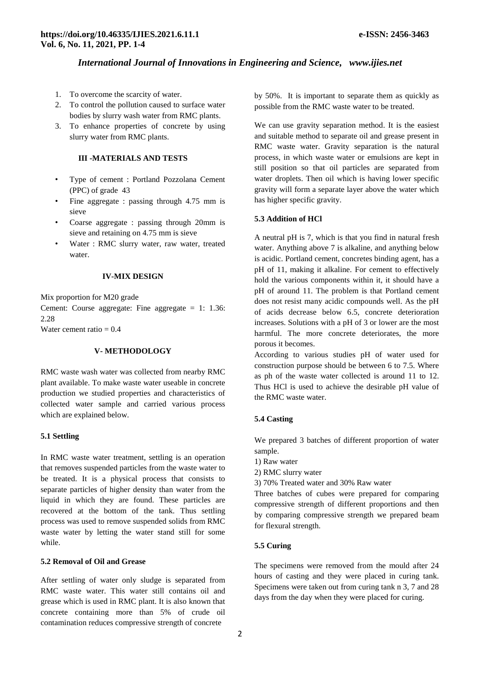- 1. To overcome the scarcity of water.
- 2. To control the pollution caused to surface water bodies by slurry wash water from RMC plants.
- 3. To enhance properties of concrete by using slurry water from RMC plants.

## **III -MATERIALS AND TESTS**

- Type of cement : Portland Pozzolana Cement (PPC) of grade 43
- Fine aggregate : passing through 4.75 mm is sieve
- Coarse aggregate : passing through 20mm is sieve and retaining on 4.75 mm is sieve
- Water : RMC slurry water, raw water, treated water.

#### **IV-MIX DESIGN**

Mix proportion for M20 grade

Cement: Course aggregate: Fine aggregate = 1: 1.36: 2.28

Water cement ratio  $= 0.4$ 

### **V- METHODOLOGY**

RMC waste wash water was collected from nearby RMC plant available. To make waste water useable in concrete production we studied properties and characteristics of collected water sample and carried various process which are explained below.

#### **5.1 Settling**

In RMC waste water treatment, settling is an operation that removes suspended particles from the waste water to be treated. It is a physical process that consists to separate particles of higher density than water from the liquid in which they are found. These particles are recovered at the bottom of the tank. Thus settling process was used to remove suspended solids from RMC waste water by letting the water stand still for some while.

## **5.2 Removal of Oil and Grease**

After settling of water only sludge is separated from RMC waste water. This water still contains oil and grease which is used in RMC plant. It is also known that concrete containing more than 5% of crude oil contamination reduces compressive strength of concrete

by 50%. It is important to separate them as quickly as possible from the RMC waste water to be treated.

We can use gravity separation method. It is the easiest and suitable method to separate oil and grease present in RMC waste water. Gravity separation is the natural process, in which waste water or emulsions are kept in still position so that oil particles are separated from water droplets. Then oil which is having lower specific gravity will form a separate layer above the water which has higher specific gravity.

#### **5.3 Addition of HCl**

A neutral pH is 7, which is that you find in natural fresh water. Anything above 7 is alkaline, and anything below is acidic. Portland cement, concretes binding agent, has a pH of 11, making it alkaline. For cement to effectively hold the various components within it, it should have a pH of around 11. The problem is that Portland cement does not resist many acidic compounds well. As the pH of acids decrease below 6.5, concrete deterioration increases. Solutions with a pH of 3 or lower are the most harmful. The more concrete deteriorates, the more porous it becomes.

According to various studies pH of water used for construction purpose should be between 6 to 7.5. Where as ph of the waste water collected is around 11 to 12. Thus HCl is used to achieve the desirable pH value of the RMC waste water.

#### **5.4 Casting**

We prepared 3 batches of different proportion of water sample.

- 1) Raw water
- 2) RMC slurry water

3) 70% Treated water and 30% Raw water

Three batches of cubes were prepared for comparing compressive strength of different proportions and then by comparing compressive strength we prepared beam for flexural strength.

#### **5.5 Curing**

The specimens were removed from the mould after 24 hours of casting and they were placed in curing tank. Specimens were taken out from curing tank n 3, 7 and 28 days from the day when they were placed for curing.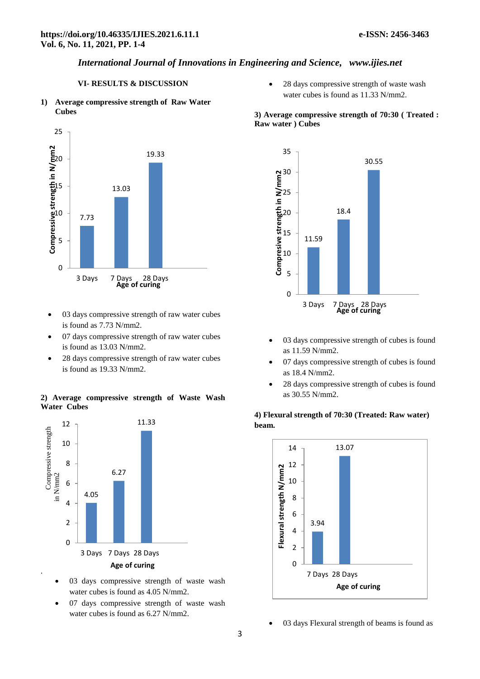# **VI- RESULTS & DISCUSSION**

**1) Average compressive strength of Raw Water Cubes**



- 03 days compressive strength of raw water cubes is found as 7.73 N/mm2.
- 07 days compressive strength of raw water cubes is found as 13.03 N/mm2.
- 28 days compressive strength of raw water cubes is found as 19.33 N/mm2.

## **2) Average compressive strength of Waste Wash Water Cubes**



- 03 days compressive strength of waste wash water cubes is found as 4.05 N/mm2.
- 07 days compressive strength of waste wash water cubes is found as 6.27 N/mm2.

 28 days compressive strength of waste wash water cubes is found as 11.33 N/mm2.

## **3) Average compressive strength of 70:30 ( Treated : Raw water ) Cubes**



- 03 days compressive strength of cubes is found as 11.59 N/mm2.
- 07 days compressive strength of cubes is found as 18.4 N/mm2.
- 28 days compressive strength of cubes is found as 30.55 N/mm2.

# **4) Flexural strength of 70:30 (Treated: Raw water) beam.**



03 days Flexural strength of beams is found as